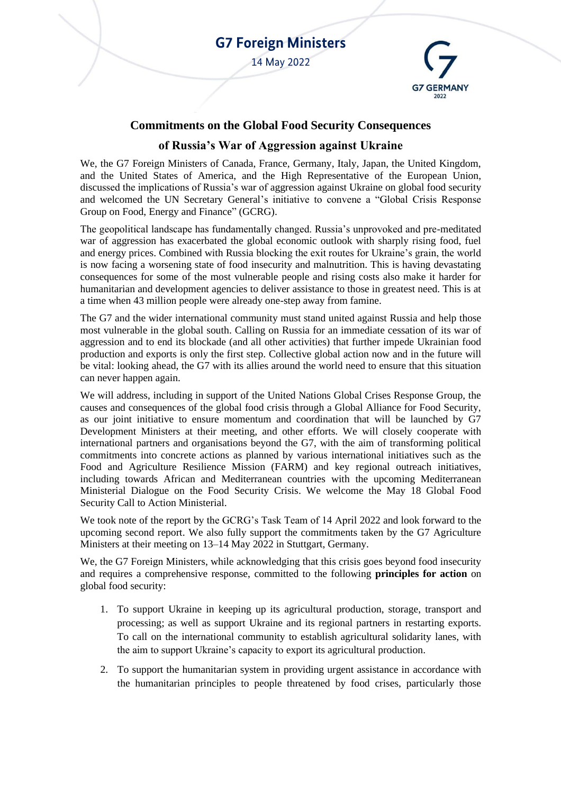

## **Commitments on the Global Food Security Consequences**

## **of Russia's War of Aggression against Ukraine**

We, the G7 Foreign Ministers of Canada, France, Germany, Italy, Japan, the United Kingdom, and the United States of America, and the High Representative of the European Union, discussed the implications of Russia's war of aggression against Ukraine on global food security and welcomed the UN Secretary General's initiative to convene a "Global Crisis Response Group on Food, Energy and Finance" (GCRG).

The geopolitical landscape has fundamentally changed. Russia's unprovoked and pre-meditated war of aggression has exacerbated the global economic outlook with sharply rising food, fuel and energy prices. Combined with Russia blocking the exit routes for Ukraine's grain, the world is now facing a worsening state of food insecurity and malnutrition. This is having devastating consequences for some of the most vulnerable people and rising costs also make it harder for humanitarian and development agencies to deliver assistance to those in greatest need. This is at a time when 43 million people were already one-step away from famine.

The G7 and the wider international community must stand united against Russia and help those most vulnerable in the global south. Calling on Russia for an immediate cessation of its war of aggression and to end its blockade (and all other activities) that further impede Ukrainian food production and exports is only the first step. Collective global action now and in the future will be vital: looking ahead, the G7 with its allies around the world need to ensure that this situation can never happen again.

We will address, including in support of the United Nations Global Crises Response Group, the causes and consequences of the global food crisis through a Global Alliance for Food Security, as our joint initiative to ensure momentum and coordination that will be launched by G7 Development Ministers at their meeting, and other efforts. We will closely cooperate with international partners and organisations beyond the G7, with the aim of transforming political commitments into concrete actions as planned by various international initiatives such as the Food and Agriculture Resilience Mission (FARM) and key regional outreach initiatives, including towards African and Mediterranean countries with the upcoming Mediterranean Ministerial Dialogue on the Food Security Crisis. We welcome the May 18 Global Food Security Call to Action Ministerial.

We took note of the report by the GCRG's Task Team of 14 April 2022 and look forward to the upcoming second report. We also fully support the commitments taken by the G7 Agriculture Ministers at their meeting on 13–14 May 2022 in Stuttgart, Germany.

We, the G7 Foreign Ministers, while acknowledging that this crisis goes beyond food insecurity and requires a comprehensive response, committed to the following **principles for action** on global food security:

- 1. To support Ukraine in keeping up its agricultural production, storage, transport and processing; as well as support Ukraine and its regional partners in restarting exports. To call on the international community to establish agricultural solidarity lanes, with the aim to support Ukraine's capacity to export its agricultural production.
- 2. To support the humanitarian system in providing urgent assistance in accordance with the humanitarian principles to people threatened by food crises, particularly those